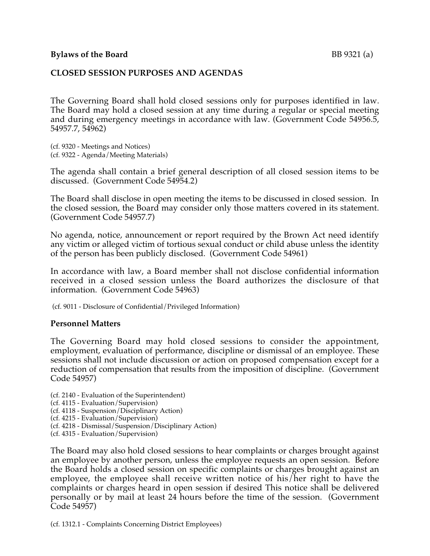### **CLOSED SESSION PURPOSES AND AGENDAS**

The Governing Board shall hold closed sessions only for purposes identified in law. The Board may hold a closed session at any time during a regular or special meeting and during emergency meetings in accordance with law. (Government Code 54956.5, 54957.7, 54962)

(cf. 9320 - Meetings and Notices) (cf. 9322 - Agenda/Meeting Materials)

The agenda shall contain a brief general description of all closed session items to be discussed. (Government Code 54954.2)

The Board shall disclose in open meeting the items to be discussed in closed session. In the closed session, the Board may consider only those matters covered in its statement. (Government Code 54957.7)

No agenda, notice, announcement or report required by the Brown Act need identify any victim or alleged victim of tortious sexual conduct or child abuse unless the identity of the person has been publicly disclosed. (Government Code 54961)

In accordance with law, a Board member shall not disclose confidential information received in a closed session unless the Board authorizes the disclosure of that information. (Government Code 54963)

(cf. 9011 - Disclosure of Confidential/Privileged Information)

### **Personnel Matters**

The Governing Board may hold closed sessions to consider the appointment, employment, evaluation of performance, discipline or dismissal of an employee. These sessions shall not include discussion or action on proposed compensation except for a reduction of compensation that results from the imposition of discipline. (Government Code 54957)

- (cf. 2140 Evaluation of the Superintendent)
- (cf. 4115 Evaluation/Supervision)
- (cf. 4118 Suspension/Disciplinary Action)
- (cf. 4215 Evaluation/Supervision)
- (cf. 4218 Dismissal/Suspension/Disciplinary Action)
- (cf. 4315 Evaluation/Supervision)

The Board may also hold closed sessions to hear complaints or charges brought against an employee by another person, unless the employee requests an open session. Before the Board holds a closed session on specific complaints or charges brought against an employee, the employee shall receive written notice of his/her right to have the complaints or charges heard in open session if desired This notice shall be delivered personally or by mail at least 24 hours before the time of the session. (Government Code 54957)

(cf. 1312.1 - Complaints Concerning District Employees)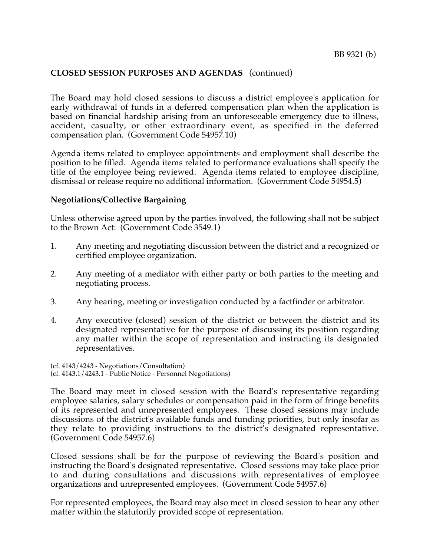The Board may hold closed sessions to discuss a district employee's application for early withdrawal of funds in a deferred compensation plan when the application is based on financial hardship arising from an unforeseeable emergency due to illness, accident, casualty, or other extraordinary event, as specified in the deferred compensation plan. (Government Code 54957.10)

Agenda items related to employee appointments and employment shall describe the position to be filled. Agenda items related to performance evaluations shall specify the title of the employee being reviewed. Agenda items related to employee discipline, dismissal or release require no additional information. (Government Code 54954.5)

### **Negotiations/Collective Bargaining**

Unless otherwise agreed upon by the parties involved, the following shall not be subject to the Brown Act: (Government Code 3549.1)

- 1. Any meeting and negotiating discussion between the district and a recognized or certified employee organization.
- 2. Any meeting of a mediator with either party or both parties to the meeting and negotiating process.
- 3. Any hearing, meeting or investigation conducted by a factfinder or arbitrator.
- 4. Any executive (closed) session of the district or between the district and its designated representative for the purpose of discussing its position regarding any matter within the scope of representation and instructing its designated representatives.

(cf. 4143/4243 - Negotiations/Consultation) (cf. 4143.1/4243.1 - Public Notice - Personnel Negotiations)

The Board may meet in closed session with the Board's representative regarding employee salaries, salary schedules or compensation paid in the form of fringe benefits of its represented and unrepresented employees. These closed sessions may include discussions of the district's available funds and funding priorities, but only insofar as they relate to providing instructions to the district's designated representative. (Government Code 54957.6)

Closed sessions shall be for the purpose of reviewing the Board's position and instructing the Board's designated representative. Closed sessions may take place prior to and during consultations and discussions with representatives of employee organizations and unrepresented employees. (Government Code 54957.6)

For represented employees, the Board may also meet in closed session to hear any other matter within the statutorily provided scope of representation.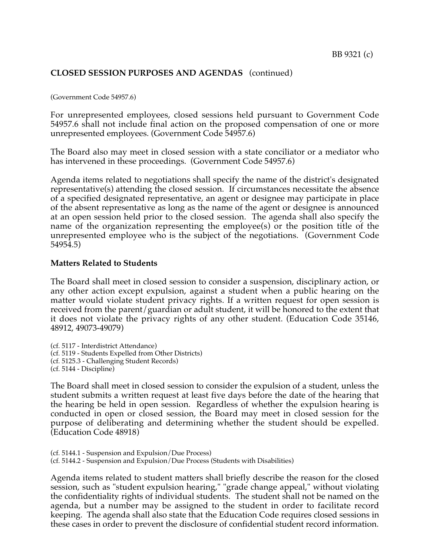(Government Code 54957.6)

For unrepresented employees, closed sessions held pursuant to Government Code 54957.6 shall not include final action on the proposed compensation of one or more unrepresented employees. (Government Code 54957.6)

The Board also may meet in closed session with a state conciliator or a mediator who has intervened in these proceedings. (Government Code 54957.6)

Agenda items related to negotiations shall specify the name of the district's designated representative(s) attending the closed session. If circumstances necessitate the absence of a specified designated representative, an agent or designee may participate in place of the absent representative as long as the name of the agent or designee is announced at an open session held prior to the closed session. The agenda shall also specify the name of the organization representing the employee(s) or the position title of the unrepresented employee who is the subject of the negotiations. (Government Code 54954.5)

#### **Matters Related to Students**

The Board shall meet in closed session to consider a suspension, disciplinary action, or any other action except expulsion, against a student when a public hearing on the matter would violate student privacy rights. If a written request for open session is received from the parent/guardian or adult student, it will be honored to the extent that it does not violate the privacy rights of any other student. (Education Code 35146, 48912, 49073-49079)

(cf. 5117 - Interdistrict Attendance) (cf. 5119 - Students Expelled from Other Districts) (cf. 5125.3 - Challenging Student Records) (cf. 5144 - Discipline)

The Board shall meet in closed session to consider the expulsion of a student, unless the student submits a written request at least five days before the date of the hearing that the hearing be held in open session. Regardless of whether the expulsion hearing is conducted in open or closed session, the Board may meet in closed session for the purpose of deliberating and determining whether the student should be expelled. (Education Code 48918)

(cf. 5144.1 - Suspension and Expulsion/Due Process) (cf. 5144.2 - Suspension and Expulsion/Due Process (Students with Disabilities)

Agenda items related to student matters shall briefly describe the reason for the closed session, such as "student expulsion hearing," "grade change appeal," without violating the confidentiality rights of individual students. The student shall not be named on the agenda, but a number may be assigned to the student in order to facilitate record keeping. The agenda shall also state that the Education Code requires closed sessions in these cases in order to prevent the disclosure of confidential student record information.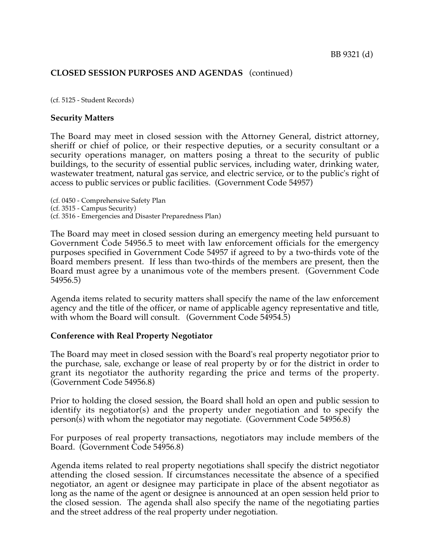(cf. 5125 - Student Records)

### **Security Matters**

The Board may meet in closed session with the Attorney General, district attorney, sheriff or chief of police, or their respective deputies, or a security consultant or a security operations manager, on matters posing a threat to the security of public buildings, to the security of essential public services, including water, drinking water, wastewater treatment, natural gas service, and electric service, or to the public's right of access to public services or public facilities. (Government Code 54957)

(cf. 0450 - Comprehensive Safety Plan (cf. 3515 - Campus Security) (cf. 3516 - Emergencies and Disaster Preparedness Plan)

The Board may meet in closed session during an emergency meeting held pursuant to Government Code 54956.5 to meet with law enforcement officials for the emergency purposes specified in Government Code 54957 if agreed to by a two-thirds vote of the Board members present. If less than two-thirds of the members are present, then the Board must agree by a unanimous vote of the members present. (Government Code 54956.5)

Agenda items related to security matters shall specify the name of the law enforcement agency and the title of the officer, or name of applicable agency representative and title, with whom the Board will consult. (Government Code 54954.5)

### **Conference with Real Property Negotiator**

The Board may meet in closed session with the Board's real property negotiator prior to the purchase, sale, exchange or lease of real property by or for the district in order to grant its negotiator the authority regarding the price and terms of the property. (Government Code 54956.8)

Prior to holding the closed session, the Board shall hold an open and public session to identify its negotiator(s) and the property under negotiation and to specify the person(s) with whom the negotiator may negotiate. (Government Code 54956.8)

For purposes of real property transactions, negotiators may include members of the Board. (Government Code 54956.8)

Agenda items related to real property negotiations shall specify the district negotiator attending the closed session. If circumstances necessitate the absence of a specified negotiator, an agent or designee may participate in place of the absent negotiator as long as the name of the agent or designee is announced at an open session held prior to the closed session. The agenda shall also specify the name of the negotiating parties and the street address of the real property under negotiation.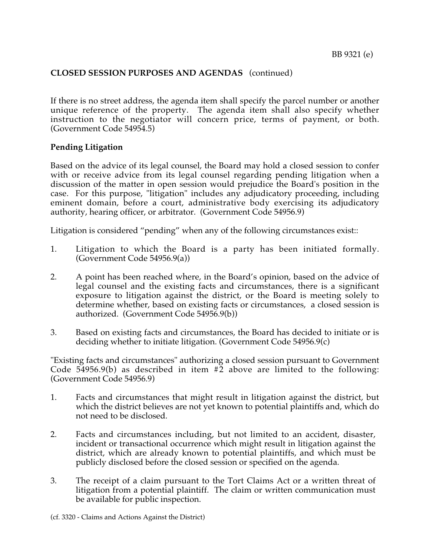If there is no street address, the agenda item shall specify the parcel number or another unique reference of the property. The agenda item shall also specify whether instruction to the negotiator will concern price, terms of payment, or both. (Government Code 54954.5)

## **Pending Litigation**

Based on the advice of its legal counsel, the Board may hold a closed session to confer with or receive advice from its legal counsel regarding pending litigation when a discussion of the matter in open session would prejudice the Board's position in the case. For this purpose, "litigation" includes any adjudicatory proceeding, including eminent domain, before a court, administrative body exercising its adjudicatory authority, hearing officer, or arbitrator. (Government Code 54956.9)

Litigation is considered "pending" when any of the following circumstances exist::

- 1. Litigation to which the Board is a party has been initiated formally. (Government Code 54956.9(a))
- 2. A point has been reached where, in the Board's opinion, based on the advice of legal counsel and the existing facts and circumstances, there is a significant exposure to litigation against the district, or the Board is meeting solely to determine whether, based on existing facts or circumstances, a closed session is authorized. (Government Code 54956.9(b))
- 3. Based on existing facts and circumstances, the Board has decided to initiate or is deciding whether to initiate litigation. (Government Code 54956.9(c)

"Existing facts and circumstances" authorizing a closed session pursuant to Government Code  $54956.9(b)$  as described in item  $\#2$  above are limited to the following: (Government Code 54956.9)

- 1. Facts and circumstances that might result in litigation against the district, but which the district believes are not yet known to potential plaintiffs and, which do not need to be disclosed.
- 2. Facts and circumstances including, but not limited to an accident, disaster, incident or transactional occurrence which might result in litigation against the district, which are already known to potential plaintiffs, and which must be publicly disclosed before the closed session or specified on the agenda.
- 3. The receipt of a claim pursuant to the Tort Claims Act or a written threat of litigation from a potential plaintiff. The claim or written communication must be available for public inspection.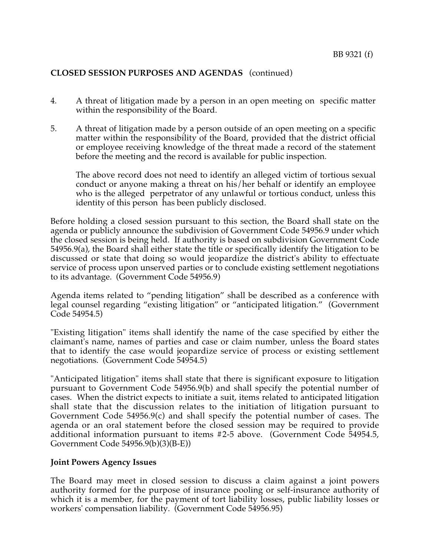- 4. A threat of litigation made by a person in an open meeting on specific matter within the responsibility of the Board.
- 5. A threat of litigation made by a person outside of an open meeting on a specific matter within the responsibility of the Board, provided that the district official or employee receiving knowledge of the threat made a record of the statement before the meeting and the record is available for public inspection.

The above record does not need to identify an alleged victim of tortious sexual conduct or anyone making a threat on his/her behalf or identify an employee who is the alleged perpetrator of any unlawful or tortious conduct, unless this identity of this person has been publicly disclosed.

Before holding a closed session pursuant to this section, the Board shall state on the agenda or publicly announce the subdivision of Government Code 54956.9 under which the closed session is being held. If authority is based on subdivision Government Code 54956.9(a), the Board shall either state the title or specifically identify the litigation to be discussed or state that doing so would jeopardize the district's ability to effectuate service of process upon unserved parties or to conclude existing settlement negotiations to its advantage. (Government Code 54956.9)

Agenda items related to "pending litigation" shall be described as a conference with legal counsel regarding "existing litigation" or "anticipated litigation." (Government Code 54954.5)

"Existing litigation" items shall identify the name of the case specified by either the claimant's name, names of parties and case or claim number, unless the Board states that to identify the case would jeopardize service of process or existing settlement negotiations. (Government Code 54954.5)

"Anticipated litigation" items shall state that there is significant exposure to litigation pursuant to Government Code 54956.9(b) and shall specify the potential number of cases. When the district expects to initiate a suit, items related to anticipated litigation shall state that the discussion relates to the initiation of litigation pursuant to Government Code 54956.9(c) and shall specify the potential number of cases. The agenda or an oral statement before the closed session may be required to provide additional information pursuant to items #2-5 above. (Government Code 54954.5, Government Code 54956.9(b)(3)(B-E))

### **Joint Powers Agency Issues**

The Board may meet in closed session to discuss a claim against a joint powers authority formed for the purpose of insurance pooling or self-insurance authority of which it is a member, for the payment of tort liability losses, public liability losses or workers' compensation liability. (Government Code 54956.95)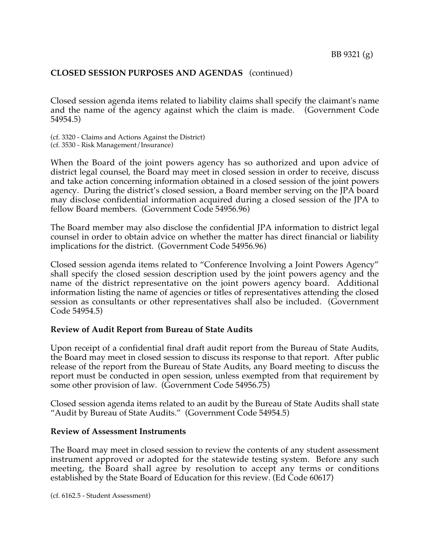Closed session agenda items related to liability claims shall specify the claimant's name and the name of the agency against which the claim is made. (Government Code 54954.5)

(cf. 3320 - Claims and Actions Against the District) (cf. 3530 - Risk Management/Insurance)

When the Board of the joint powers agency has so authorized and upon advice of district legal counsel, the Board may meet in closed session in order to receive, discuss and take action concerning information obtained in a closed session of the joint powers agency. During the district's closed session, a Board member serving on the JPA board may disclose confidential information acquired during a closed session of the JPA to fellow Board members. (Government Code 54956.96)

The Board member may also disclose the confidential JPA information to district legal counsel in order to obtain advice on whether the matter has direct financial or liability implications for the district. (Government Code 54956.96)

Closed session agenda items related to "Conference Involving a Joint Powers Agency" shall specify the closed session description used by the joint powers agency and the name of the district representative on the joint powers agency board. Additional information listing the name of agencies or titles of representatives attending the closed session as consultants or other representatives shall also be included. (Government Code 54954.5)

### **Review of Audit Report from Bureau of State Audits**

Upon receipt of a confidential final draft audit report from the Bureau of State Audits, the Board may meet in closed session to discuss its response to that report. After public release of the report from the Bureau of State Audits, any Board meeting to discuss the report must be conducted in open session, unless exempted from that requirement by some other provision of law. (Government Code 54956.75)

Closed session agenda items related to an audit by the Bureau of State Audits shall state "Audit by Bureau of State Audits." (Government Code 54954.5)

### **Review of Assessment Instruments**

The Board may meet in closed session to review the contents of any student assessment instrument approved or adopted for the statewide testing system. Before any such meeting, the Board shall agree by resolution to accept any terms or conditions established by the State Board of Education for this review. (Ed Code 60617)

(cf. 6162.5 - Student Assessment)